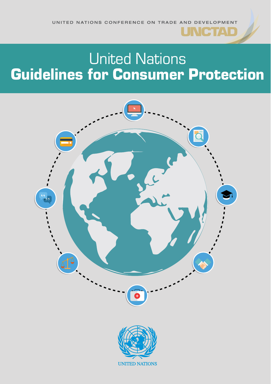



**UNITED NATIONS**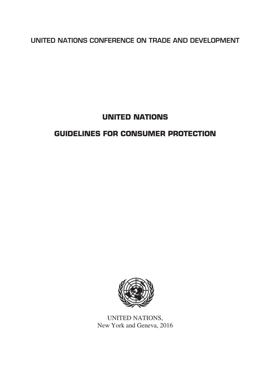# **UNITED NATIONS CONFERENCE ON TRADE AND DEVELOPMENT**

# **UNITED NATIONS**

# **GUIDELINES FOR CONSUMER PROTECTION**



UNITED NATIONS, New York and Geneva, 2016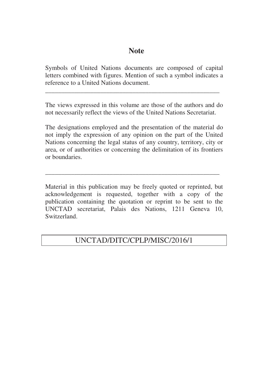## **Note**

Symbols of United Nations documents are composed of capital letters combined with figures. Mention of such a symbol indicates a reference to a United Nations document.

\_\_\_\_\_\_\_\_\_\_\_\_\_\_\_\_\_\_\_\_\_\_\_\_\_\_\_\_\_\_\_\_\_\_\_\_\_\_\_\_\_\_\_\_\_\_\_\_\_\_\_\_\_\_

The views expressed in this volume are those of the authors and do not necessarily reflect the views of the United Nations Secretariat.

The designations employed and the presentation of the material do not imply the expression of any opinion on the part of the United Nations concerning the legal status of any country, territory, city or area, or of authorities or concerning the delimitation of its frontiers or boundaries.

\_\_\_\_\_\_\_\_\_\_\_\_\_\_\_\_\_\_\_\_\_\_\_\_\_\_\_\_\_\_\_\_\_\_\_\_\_\_\_\_\_\_\_\_\_\_\_\_\_\_\_\_\_\_

Material in this publication may be freely quoted or reprinted, but acknowledgement is requested, together with a copy of the publication containing the quotation or reprint to be sent to the UNCTAD secretariat, Palais des Nations, 1211 Geneva 10, Switzerland.

# UNCTAD/DITC/CPLP/MISC/2016/1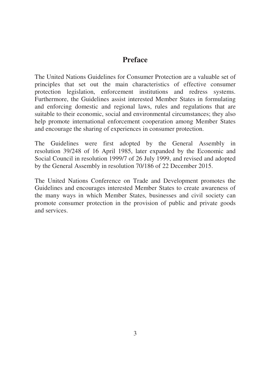## **Preface**

The United Nations Guidelines for Consumer Protection are a valuable set of principles that set out the main characteristics of effective consumer protection legislation, enforcement institutions and redress systems. Furthermore, the Guidelines assist interested Member States in formulating and enforcing domestic and regional laws, rules and regulations that are suitable to their economic, social and environmental circumstances; they also help promote international enforcement cooperation among Member States and encourage the sharing of experiences in consumer protection.

The Guidelines were first adopted by the General Assembly in resolution 39/248 of 16 April 1985, later expanded by the Economic and Social Council in resolution 1999/7 of 26 July 1999, and revised and adopted by the General Assembly in resolution 70/186 of 22 December 2015.

The United Nations Conference on Trade and Development promotes the Guidelines and encourages interested Member States to create awareness of the many ways in which Member States, businesses and civil society can promote consumer protection in the provision of public and private goods and services.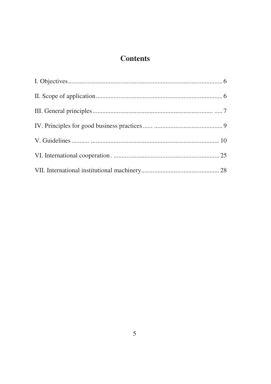# **Contents**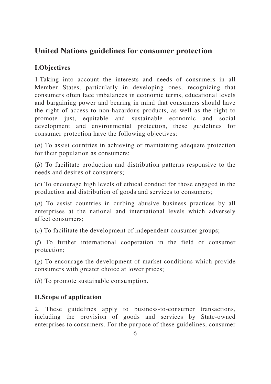# **United Nations guidelines for consumer protection**

## **I.Objectives**

1.Taking into account the interests and needs of consumers in all Member States, particularly in developing ones, recognizing that consumers often face imbalances in economic terms, educational levels and bargaining power and bearing in mind that consumers should have the right of access to non-hazardous products, as well as the right to promote just, equitable and sustainable economic and social development and environmental protection, these guidelines for consumer protection have the following objectives:

(*a*) To assist countries in achieving or maintaining adequate protection for their population as consumers;

(*b*) To facilitate production and distribution patterns responsive to the needs and desires of consumers:

(*c*) To encourage high levels of ethical conduct for those engaged in the production and distribution of goods and services to consumers;

(*d*) To assist countries in curbing abusive business practices by all enterprises at the national and international levels which adversely affect consumers:

(*e*) To facilitate the development of independent consumer groups;

(*f*) To further international cooperation in the field of consumer protection;

(*g*) To encourage the development of market conditions which provide consumers with greater choice at lower prices;

(*h*) To promote sustainable consumption.

## **II.Scope of application**

2. These guidelines apply to business-to-consumer transactions, including the provision of goods and services by State-owned enterprises to consumers. For the purpose of these guidelines, consumer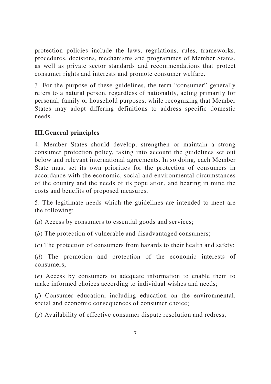protection policies include the laws, regulations, rules, frameworks, procedures, decisions, mechanisms and programmes of Member States, as well as private sector standards and recommendations that protect consumer rights and interests and promote consumer welfare.

3. For the purpose of these guidelines, the term "consumer" generally refers to a natural person, regardless of nationality, acting primarily for personal, family or household purposes, while recognizing that Member States may adopt differing definitions to address specific domestic needs.

### **III.General principles**

4. Member States should develop, strengthen or maintain a strong consumer protection policy, taking into account the guidelines set out below and relevant international agreements. In so doing, each Member State must set its own priorities for the protection of consumers in accordance with the economic, social and environmental circumstances of the country and the needs of its population, and bearing in mind the costs and benefits of proposed measures.

5. The legitimate needs which the guidelines are intended to meet are the following:

 $(a)$  Access by consumers to essential goods and services;

 $(b)$  The protection of vulnerable and disadvantaged consumers;

 $(c)$  The protection of consumers from hazards to their health and safety;

(*d*) The promotion and protection of the economic interests of consumers:

(*e*) Access by consumers to adequate information to enable them to make informed choices according to individual wishes and needs;

(*f*) Consumer education, including education on the environmental, social and economic consequences of consumer choice;

 $(g)$  Availability of effective consumer dispute resolution and redress;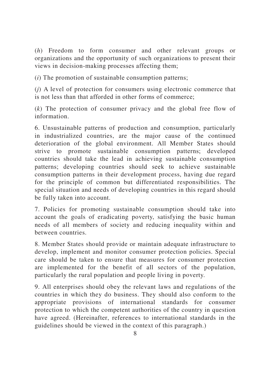(*h*) Freedom to form consumer and other relevant groups or organizations and the opportunity of such organizations to present their views in decision-making processes affecting them;

 $(i)$  The promotion of sustainable consumption patterns;

(*j*) A level of protection for consumers using electronic commerce that is not less than that afforded in other forms of commerce:

(*k*) The protection of consumer privacy and the global free flow of information.

6. Unsustainable patterns of production and consumption, particularly in industrialized countries, are the major cause of the continued deterioration of the global environment. All Member States should strive to promote sustainable consumption patterns; developed countries should take the lead in achieving sustainable consumption patterns; developing countries should seek to achieve sustainable consumption patterns in their development process, having due regard for the principle of common but differentiated responsibilities. The special situation and needs of developing countries in this regard should be fully taken into account.

7. Policies for promoting sustainable consumption should take into account the goals of eradicating poverty, satisfying the basic human needs of all members of society and reducing inequality within and between countries.

8. Member States should provide or maintain adequate infrastructure to develop, implement and monitor consumer protection policies. Special care should be taken to ensure that measures for consumer protection are implemented for the benefit of all sectors of the population, particularly the rural population and people living in poverty.

9. All enterprises should obey the relevant laws and regulations of the countries in which they do business. They should also conform to the appropriate provisions of international standards for consumer protection to which the competent authorities of the country in question have agreed. (Hereinafter, references to international standards in the guidelines should be viewed in the context of this paragraph.)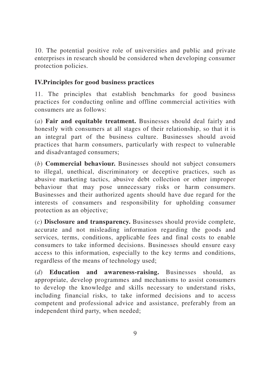10. The potential positive role of universities and public and private enterprises in research should be considered when developing consumer protection policies.

## **IV.Principles for good business practices**

11. The principles that establish benchmarks for good business practices for conducting online and offline commercial activities with consumers are as follows:

(*a*) **Fair and equitable treatment.** Businesses should deal fairly and honestly with consumers at all stages of their relationship, so that it is an integral part of the business culture. Businesses should avoid practices that harm consumers, particularly with respect to vulnerable and disadvantaged consumers;

(*b*) **Commercial behaviour.** Businesses should not subject consumers to illegal, unethical, discriminatory or deceptive practices, such as abusive marketing tactics, abusive debt collection or other improper behaviour that may pose unnecessary risks or harm consumers. Businesses and their authorized agents should have due regard for the interests of consumers and responsibility for upholding consumer protection as an objective;

(*c*) **Disclosure and transparency.** Businesses should provide complete, accurate and not misleading information regarding the goods and services, terms, conditions, applicable fees and final costs to enable consumers to take informed decisions. Businesses should ensure easy access to this information, especially to the key terms and conditions, regardless of the means of technology used;

(*d*) **Education and awareness-raising.** Businesses should, as appropriate, develop programmes and mechanisms to assist consumers to develop the knowledge and skills necessary to understand risks, including financial risks, to take informed decisions and to access competent and professional advice and assistance, preferably from an independent third party, when needed;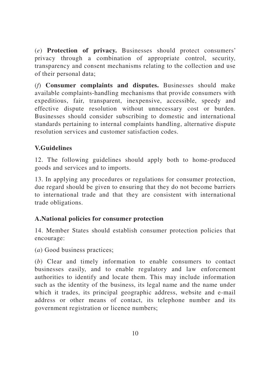(*e*) **Protection of privacy.** Businesses should protect consumers' privacy through a combination of appropriate control, security, transparency and consent mechanisms relating to the collection and use of their personal data;

(*f*) **Consumer complaints and disputes.** Businesses should make available complaints-handling mechanisms that provide consumers with expeditious, fair, transparent, inexpensive, accessible, speedy and effective dispute resolution without unnecessary cost or burden. Businesses should consider subscribing to domestic and international standards pertaining to internal complaints handling, alternative dispute resolution services and customer satisfaction codes.

### **V.Guidelines**

12. The following guidelines should apply both to home-produced goods and services and to imports.

13. In applying any procedures or regulations for consumer protection, due regard should be given to ensuring that they do not become barriers to international trade and that they are consistent with international trade obligations.

#### **A.National policies for consumer protection**

14. Member States should establish consumer protection policies that encourage:

 $(a)$  Good business practices;

(*b*) Clear and timely information to enable consumers to contact businesses easily, and to enable regulatory and law enforcement authorities to identify and locate them. This may include information such as the identity of the business, its legal name and the name under which it trades, its principal geographic address, website and e-mail address or other means of contact, its telephone number and its government registration or licence numbers;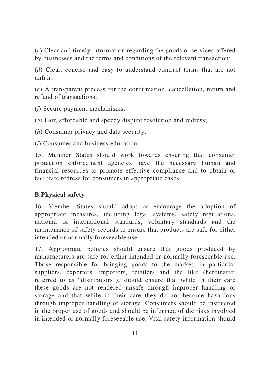(*c*) Clear and timely information regarding the goods or services offered by businesses and the terms and conditions of the relevant transaction;

(*d*) Clear, concise and easy to understand contract terms that are not unfair:

(*e*) A transparent process for the confirmation, cancellation, return and refund of transactions:

(*f*) Secure payment mechanisms;

 $(g)$  Fair, affordable and speedy dispute resolution and redress;

 $(h)$  Consumer privacy and data security;

(*i*) Consumer and business education.

15. Member States should work towards ensuring that consumer protection enforcement agencies have the necessary human and financial resources to promote effective compliance and to obtain or facilitate redress for consumers in appropriate cases.

#### **B.Physical safety**

16. Member States should adopt or encourage the adoption of appropriate measures, including legal systems, safety regulations, national or international standards, voluntary standards and the maintenance of safety records to ensure that products are safe for either intended or normally foreseeable use.

17. Appropriate policies should ensure that goods produced by manufacturers are safe for either intended or normally foreseeable use. Those responsible for bringing goods to the market, in particular suppliers, exporters, importers, retailers and the like (hereinafter referred to as "distributors"), should ensure that while in their care these goods are not rendered unsafe through improper handling or storage and that while in their care they do not become hazardous through improper handling or storage. Consumers should be instructed in the proper use of goods and should be informed of the risks involved in intended or normally foreseeable use. Vital safety information should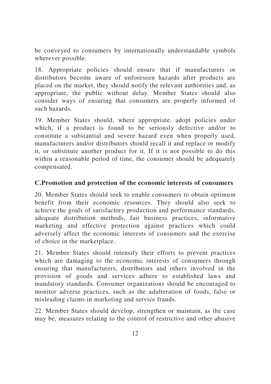be conveyed to consumers by internationally understandable symbols wherever possible.

18. Appropriate policies should ensure that if manufacturers or distributors become aware of unforeseen hazards after products are placed on the market, they should notify the relevant authorities and, as appropriate, the public without delay. Member States should also consider ways of ensuring that consumers are properly informed of such hazards.

19. Member States should, where appropriate, adopt policies under which, if a product is found to be seriously defective and/or to constitute a substantial and severe hazard even when properly used, manufacturers and/or distributors should recall it and replace or modify it, or substitute another product for it. If it is not possible to do this within a reasonable period of time, the consumer should be adequately compensated.

#### **C.Promotion and protection of the economic interests of consumers**

20. Member States should seek to enable consumers to obtain optimum benefit from their economic resources. They should also seek to achieve the goals of satisfactory production and performance standards, adequate distribution methods, fair business practices, informative marketing and effective protection against practices which could adversely affect the economic interests of consumers and the exercise of choice in the marketplace.

21. Member States should intensify their efforts to prevent practices which are damaging to the economic interests of consumers through ensuring that manufacturers, distributors and others involved in the provision of goods and services adhere to established laws and mandatory standards. Consumer organizations should be encouraged to monitor adverse practices, such as the adulteration of foods, false or misleading claims in marketing and service frauds.

22. Member States should develop, strengthen or maintain, as the case may be, measures relating to the control of restrictive and other abusive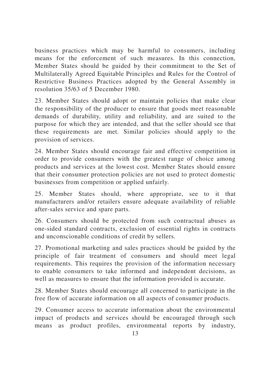business practices which may be harmful to consumers, including means for the enforcement of such measures. In this connection, Member States should be guided by their commitment to the Set of Multilaterally Agreed Equitable Principles and Rules for the Control of Restrictive Business Practices adopted by the General Assembly in resolution 35/63 of 5 December 1980.

23. Member States should adopt or maintain policies that make clear the responsibility of the producer to ensure that goods meet reasonable demands of durability, utility and reliability, and are suited to the purpose for which they are intended, and that the seller should see that these requirements are met. Similar policies should apply to the provision of services.

24. Member States should encourage fair and effective competition in order to provide consumers with the greatest range of choice among products and services at the lowest cost. Member States should ensure that their consumer protection policies are not used to protect domestic businesses from competition or applied unfairly.

25. Member States should, where appropriate, see to it that manufacturers and/or retailers ensure adequate availability of reliable after-sales service and spare parts.

26. Consumers should be protected from such contractual abuses as one-sided standard contracts, exclusion of essential rights in contracts and unconscionable conditions of credit by sellers.

27. Promotional marketing and sales practices should be guided by the principle of fair treatment of consumers and should meet legal requirements. This requires the provision of the information necessary to enable consumers to take informed and independent decisions, as well as measures to ensure that the information provided is accurate.

28. Member States should encourage all concerned to participate in the free flow of accurate information on all aspects of consumer products.

29. Consumer access to accurate information about the environmental impact of products and services should be encouraged through such means as product profiles, environmental reports by industry,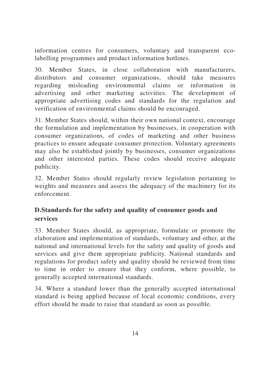information centres for consumers, voluntary and transparent ecolabelling programmes and product information hotlines.

30. Member States, in close collaboration with manufacturers, distributors and consumer organizations, should take measures regarding misleading environmental claims or information in advertising and other marketing activities. The development of appropriate advertising codes and standards for the regulation and verification of environmental claims should be encouraged.

31. Member States should, within their own national context, encourage the formulation and implementation by businesses, in cooperation with consumer organizations, of codes of marketing and other business practices to ensure adequate consumer protection. Voluntary agreements may also be established jointly by businesses, consumer organizations and other interested parties. These codes should receive adequate publicity.

32. Member States should regularly review legislation pertaining to weights and measures and assess the adequacy of the machinery for its enforcement.

## **D.Standards for the safety and quality of consumer goods and services**

33. Member States should, as appropriate, formulate or promote the elaboration and implementation of standards, voluntary and other, at the national and international levels for the safety and quality of goods and services and give them appropriate publicity. National standards and regulations for product safety and quality should be reviewed from time to time in order to ensure that they conform, where possible, to generally accepted international standards.

34. Where a standard lower than the generally accepted international standard is being applied because of local economic conditions, every effort should be made to raise that standard as soon as possible.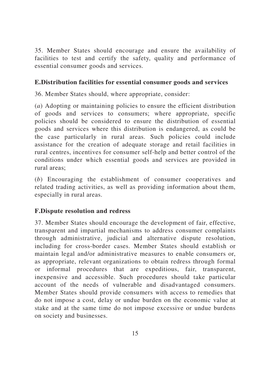35. Member States should encourage and ensure the availability of facilities to test and certify the safety, quality and performance of essential consumer goods and services.

#### **E.Distribution facilities for essential consumer goods and services**

36. Member States should, where appropriate, consider:

(*a*) Adopting or maintaining policies to ensure the efficient distribution of goods and services to consumers; where appropriate, specific policies should be considered to ensure the distribution of essential goods and services where this distribution is endangered, as could be the case particularly in rural areas. Such policies could include assistance for the creation of adequate storage and retail facilities in rural centres, incentives for consumer self-help and better control of the conditions under which essential goods and services are provided in rural areas:

(*b*) Encouraging the establishment of consumer cooperatives and related trading activities, as well as providing information about them, especially in rural areas.

### **F.Dispute resolution and redress**

37. Member States should encourage the development of fair, effective, transparent and impartial mechanisms to address consumer complaints through administrative, judicial and alternative dispute resolution, including for cross-border cases. Member States should establish or maintain legal and/or administrative measures to enable consumers or, as appropriate, relevant organizations to obtain redress through formal or informal procedures that are expeditious, fair, transparent, inexpensive and accessible. Such procedures should take particular account of the needs of vulnerable and disadvantaged consumers. Member States should provide consumers with access to remedies that do not impose a cost, delay or undue burden on the economic value at stake and at the same time do not impose excessive or undue burdens on society and businesses.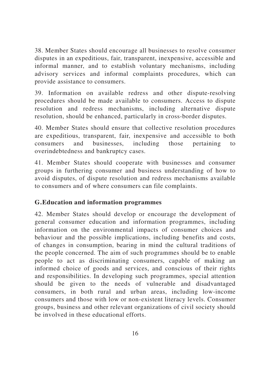38. Member States should encourage all businesses to resolve consumer disputes in an expeditious, fair, transparent, inexpensive, accessible and informal manner, and to establish voluntary mechanisms, including advisory services and informal complaints procedures, which can provide assistance to consumers.

39. Information on available redress and other dispute-resolving procedures should be made available to consumers. Access to dispute resolution and redress mechanisms, including alternative dispute resolution, should be enhanced, particularly in cross-border disputes.

40. Member States should ensure that collective resolution procedures are expeditious, transparent, fair, inexpensive and accessible to both consumers and businesses, including those pertaining to overindebtedness and bankruptcy cases.

41. Member States should cooperate with businesses and consumer groups in furthering consumer and business understanding of how to avoid disputes, of dispute resolution and redress mechanisms available to consumers and of where consumers can file complaints.

#### **G.Education and information programmes**

42. Member States should develop or encourage the development of general consumer education and information programmes, including information on the environmental impacts of consumer choices and behaviour and the possible implications, including benefits and costs, of changes in consumption, bearing in mind the cultural traditions of the people concerned. The aim of such programmes should be to enable people to act as discriminating consumers, capable of making an informed choice of goods and services, and conscious of their rights and responsibilities. In developing such programmes, special attention should be given to the needs of vulnerable and disadvantaged consumers, in both rural and urban areas, including low-income consumers and those with low or non-existent literacy levels. Consumer groups, business and other relevant organizations of civil society should be involved in these educational efforts.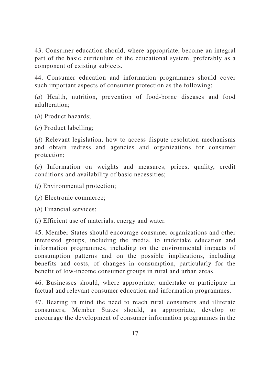43. Consumer education should, where appropriate, become an integral part of the basic curriculum of the educational system, preferably as a component of existing subjects.

44. Consumer education and information programmes should cover such important aspects of consumer protection as the following:

(*a*) Health, nutrition, prevention of food-borne diseases and food adulteration:

(*b*) Product hazards:

 $(c)$  Product labelling;

(*d*) Relevant legislation, how to access dispute resolution mechanisms and obtain redress and agencies and organizations for consumer protection;

(*e*) Information on weights and measures, prices, quality, credit conditions and availability of basic necessities;

(*f*) Environmental protection;

 $(g)$  Electronic commerce;

 $(h)$  Financial services;

(*i*) Efficient use of materials, energy and water.

45. Member States should encourage consumer organizations and other interested groups, including the media, to undertake education and information programmes, including on the environmental impacts of consumption patterns and on the possible implications, including benefits and costs, of changes in consumption, particularly for the benefit of low-income consumer groups in rural and urban areas.

46. Businesses should, where appropriate, undertake or participate in factual and relevant consumer education and information programmes.

47. Bearing in mind the need to reach rural consumers and illiterate consumers, Member States should, as appropriate, develop or encourage the development of consumer information programmes in the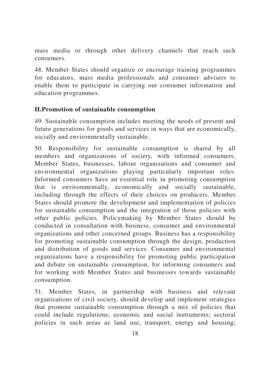mass media or through other delivery channels that reach such consumers.

48. Member States should organize or encourage training programmes for educators, mass media professionals and consumer advisers to enable them to participate in carrying out consumer information and education programmes.

#### **H.Promotion of sustainable consumption**

49. Sustainable consumption includes meeting the needs of present and future generations for goods and services in ways that are economically, socially and environmentally sustainable.

50. Responsibility for sustainable consumption is shared by all members and organizations of society, with informed consumers, Member States, businesses, labour organizations and consumer and environmental organizations playing particularly important roles. Informed consumers have an essential role in promoting consumption that is environmentally, economically and socially sustainable, including through the effects of their choices on producers. Member States should promote the development and implementation of policies for sustainable consumption and the integration of those policies with other public policies. Policymaking by Member States should be conducted in consultation with business, consumer and environmental organizations and other concerned groups. Business has a responsibility for promoting sustainable consumption through the design, production and distribution of goods and services. Consumer and environmental organizations have a responsibility for promoting public participation and debate on sustainable consumption, for informing consumers and for working with Member States and businesses towards sustainable consumption.

51. Member States, in partnership with business and relevant organizations of civil society, should develop and implement strategies that promote sustainable consumption through a mix of policies that could include regulations; economic and social instruments; sectoral policies in such areas as land use, transport, energy and housing;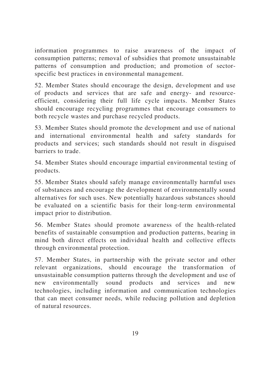information programmes to raise awareness of the impact of consumption patterns; removal of subsidies that promote unsustainable patterns of consumption and production; and promotion of sectorspecific best practices in environmental management.

52. Member States should encourage the design, development and use of products and services that are safe and energy- and resourceefficient, considering their full life cycle impacts. Member States should encourage recycling programmes that encourage consumers to both recycle wastes and purchase recycled products.

53. Member States should promote the development and use of national and international environmental health and safety standards for products and services; such standards should not result in disguised barriers to trade.

54. Member States should encourage impartial environmental testing of products.

55. Member States should safely manage environmentally harmful uses of substances and encourage the development of environmentally sound alternatives for such uses. New potentially hazardous substances should be evaluated on a scientific basis for their long-term environmental impact prior to distribution.

56. Member States should promote awareness of the health-related benefits of sustainable consumption and production patterns, bearing in mind both direct effects on individual health and collective effects through environmental protection.

57. Member States, in partnership with the private sector and other relevant organizations, should encourage the transformation of unsustainable consumption patterns through the development and use of new environmentally sound products and services and new technologies, including information and communication technologies that can meet consumer needs, while reducing pollution and depletion of natural resources.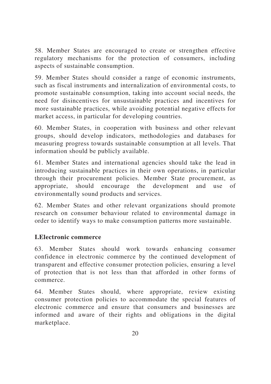58. Member States are encouraged to create or strengthen effective regulatory mechanisms for the protection of consumers, including aspects of sustainable consumption.

59. Member States should consider a range of economic instruments, such as fiscal instruments and internalization of environmental costs, to promote sustainable consumption, taking into account social needs, the need for disincentives for unsustainable practices and incentives for more sustainable practices, while avoiding potential negative effects for market access, in particular for developing countries.

60. Member States, in cooperation with business and other relevant groups, should develop indicators, methodologies and databases for measuring progress towards sustainable consumption at all levels. That information should be publicly available.

61. Member States and international agencies should take the lead in introducing sustainable practices in their own operations, in particular through their procurement policies. Member State procurement, as appropriate, should encourage the development and use of environmentally sound products and services.

62. Member States and other relevant organizations should promote research on consumer behaviour related to environmental damage in order to identify ways to make consumption patterns more sustainable.

#### **I.Electronic commerce**

63. Member States should work towards enhancing consumer confidence in electronic commerce by the continued development of transparent and effective consumer protection policies, ensuring a level of protection that is not less than that afforded in other forms of commerce.

64. Member States should, where appropriate, review existing consumer protection policies to accommodate the special features of electronic commerce and ensure that consumers and businesses are informed and aware of their rights and obligations in the digital marketplace.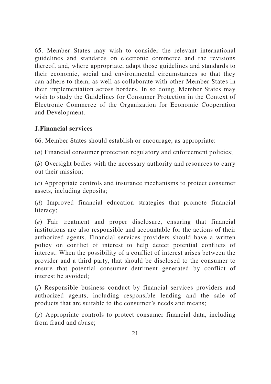65. Member States may wish to consider the relevant international guidelines and standards on electronic commerce and the revisions thereof, and, where appropriate, adapt those guidelines and standards to their economic, social and environmental circumstances so that they can adhere to them, as well as collaborate with other Member States in their implementation across borders. In so doing, Member States may wish to study the Guidelines for Consumer Protection in the Context of Electronic Commerce of the Organization for Economic Cooperation and Development.

#### **J.Financial services**

66. Member States should establish or encourage, as appropriate:

 $(a)$  Financial consumer protection regulatory and enforcement policies;

(*b*) Oversight bodies with the necessary authority and resources to carry out their mission:

(*c*) Appropriate controls and insurance mechanisms to protect consumer assets, including deposits;

(*d*) Improved financial education strategies that promote financial literacy:

(*e*) Fair treatment and proper disclosure, ensuring that financial institutions are also responsible and accountable for the actions of their authorized agents. Financial services providers should have a written policy on conflict of interest to help detect potential conflicts of interest. When the possibility of a conflict of interest arises between the provider and a third party, that should be disclosed to the consumer to ensure that potential consumer detriment generated by conflict of interest be avoided:

(*f*) Responsible business conduct by financial services providers and authorized agents, including responsible lending and the sale of products that are suitable to the consumer's needs and means;

(*g*) Appropriate controls to protect consumer financial data, including from fraud and abuse: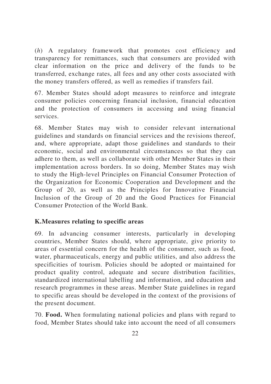(*h*) A regulatory framework that promotes cost efficiency and transparency for remittances, such that consumers are provided with clear information on the price and delivery of the funds to be transferred, exchange rates, all fees and any other costs associated with the money transfers offered, as well as remedies if transfers fail.

67. Member States should adopt measures to reinforce and integrate consumer policies concerning financial inclusion, financial education and the protection of consumers in accessing and using financial services.

68. Member States may wish to consider relevant international guidelines and standards on financial services and the revisions thereof, and, where appropriate, adapt those guidelines and standards to their economic, social and environmental circumstances so that they can adhere to them, as well as collaborate with other Member States in their implementation across borders. In so doing, Member States may wish to study the High-level Principles on Financial Consumer Protection of the Organization for Economic Cooperation and Development and the Group of 20, as well as the Principles for Innovative Financial Inclusion of the Group of 20 and the Good Practices for Financial Consumer Protection of the World Bank.

#### **K.Measures relating to specific areas**

69. In advancing consumer interests, particularly in developing countries, Member States should, where appropriate, give priority to areas of essential concern for the health of the consumer, such as food, water, pharmaceuticals, energy and public utilities, and also address the specificities of tourism. Policies should be adopted or maintained for product quality control, adequate and secure distribution facilities, standardized international labelling and information, and education and research programmes in these areas. Member State guidelines in regard to specific areas should be developed in the context of the provisions of the present document.

70. **Food.** When formulating national policies and plans with regard to food, Member States should take into account the need of all consumers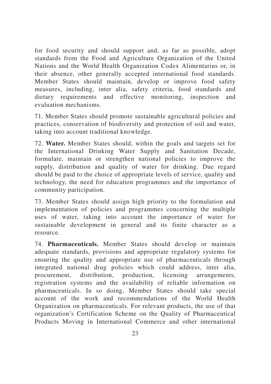for food security and should support and, as far as possible, adopt standards from the Food and Agriculture Organization of the United Nations and the World Health Organization Codex Alimentarius or, in their absence, other generally accepted international food standards. Member States should maintain, develop or improve food safety measures, including, inter alia, safety criteria, food standards and dietary requirements and effective monitoring, inspection and evaluation mechanisms.

71. Member States should promote sustainable agricultural policies and practices, conservation of biodiversity and protection of soil and water, taking into account traditional knowledge.

72. **Water.** Member States should, within the goals and targets set for the International Drinking Water Supply and Sanitation Decade, formulate, maintain or strengthen national policies to improve the supply, distribution and quality of water for drinking. Due regard should be paid to the choice of appropriate levels of service, quality and technology, the need for education programmes and the importance of community participation.

73. Member States should assign high priority to the formulation and implementation of policies and programmes concerning the multiple uses of water, taking into account the importance of water for sustainable development in general and its finite character as a resource.

74. **Pharmaceuticals.** Member States should develop or maintain adequate standards, provisions and appropriate regulatory systems for ensuring the quality and appropriate use of pharmaceuticals through integrated national drug policies which could address, inter alia, procurement, distribution, production, licensing arrangements, registration systems and the availability of reliable information on pharmaceuticals. In so doing, Member States should take special account of the work and recommendations of the World Health Organization on pharmaceuticals. For relevant products, the use of that organization's Certification Scheme on the Quality of Pharmaceutical Products Moving in International Commerce and other international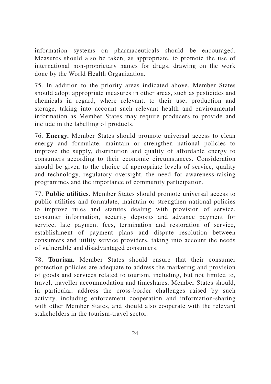information systems on pharmaceuticals should be encouraged. Measures should also be taken, as appropriate, to promote the use of international non-proprietary names for drugs, drawing on the work done by the World Health Organization.

75. In addition to the priority areas indicated above, Member States should adopt appropriate measures in other areas, such as pesticides and chemicals in regard, where relevant, to their use, production and storage, taking into account such relevant health and environmental information as Member States may require producers to provide and include in the labelling of products.

76. **Energy.** Member States should promote universal access to clean energy and formulate, maintain or strengthen national policies to improve the supply, distribution and quality of affordable energy to consumers according to their economic circumstances. Consideration should be given to the choice of appropriate levels of service, quality and technology, regulatory oversight, the need for awareness-raising programmes and the importance of community participation.

77. **Public utilities.** Member States should promote universal access to public utilities and formulate, maintain or strengthen national policies to improve rules and statutes dealing with provision of service, consumer information, security deposits and advance payment for service, late payment fees, termination and restoration of service, establishment of payment plans and dispute resolution between consumers and utility service providers, taking into account the needs of vulnerable and disadvantaged consumers.

78. **Tourism.** Member States should ensure that their consumer protection policies are adequate to address the marketing and provision of goods and services related to tourism, including, but not limited to, travel, traveller accommodation and timeshares. Member States should, in particular, address the cross-border challenges raised by such activity, including enforcement cooperation and information-sharing with other Member States, and should also cooperate with the relevant stakeholders in the tourism-travel sector.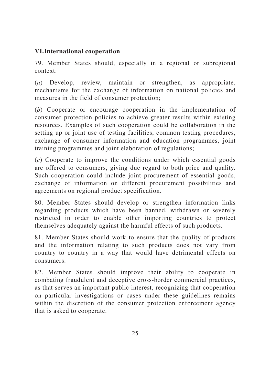## **VI.International cooperation**

79. Member States should, especially in a regional or subregional context:

(*a*) Develop, review, maintain or strengthen, as appropriate, mechanisms for the exchange of information on national policies and measures in the field of consumer protection:

(*b*) Cooperate or encourage cooperation in the implementation of consumer protection policies to achieve greater results within existing resources. Examples of such cooperation could be collaboration in the setting up or joint use of testing facilities, common testing procedures, exchange of consumer information and education programmes, joint training programmes and joint elaboration of regulations;

(*c*) Cooperate to improve the conditions under which essential goods are offered to consumers, giving due regard to both price and quality. Such cooperation could include joint procurement of essential goods, exchange of information on different procurement possibilities and agreements on regional product specification.

80. Member States should develop or strengthen information links regarding products which have been banned, withdrawn or severely restricted in order to enable other importing countries to protect themselves adequately against the harmful effects of such products.

81. Member States should work to ensure that the quality of products and the information relating to such products does not vary from country to country in a way that would have detrimental effects on consumers.

82. Member States should improve their ability to cooperate in combating fraudulent and deceptive cross-border commercial practices, as that serves an important public interest, recognizing that cooperation on particular investigations or cases under these guidelines remains within the discretion of the consumer protection enforcement agency that is asked to cooperate.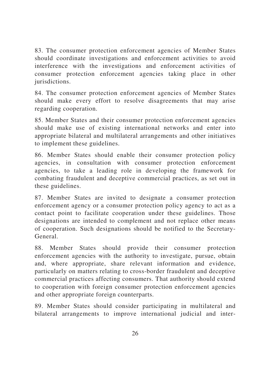83. The consumer protection enforcement agencies of Member States should coordinate investigations and enforcement activities to avoid interference with the investigations and enforcement activities of consumer protection enforcement agencies taking place in other jurisdictions.

84. The consumer protection enforcement agencies of Member States should make every effort to resolve disagreements that may arise regarding cooperation.

85. Member States and their consumer protection enforcement agencies should make use of existing international networks and enter into appropriate bilateral and multilateral arrangements and other initiatives to implement these guidelines.

86. Member States should enable their consumer protection policy agencies, in consultation with consumer protection enforcement agencies, to take a leading role in developing the framework for combating fraudulent and deceptive commercial practices, as set out in these guidelines.

87. Member States are invited to designate a consumer protection enforcement agency or a consumer protection policy agency to act as a contact point to facilitate cooperation under these guidelines. Those designations are intended to complement and not replace other means of cooperation. Such designations should be notified to the Secretary-General.

88. Member States should provide their consumer protection enforcement agencies with the authority to investigate, pursue, obtain and, where appropriate, share relevant information and evidence, particularly on matters relating to cross-border fraudulent and deceptive commercial practices affecting consumers. That authority should extend to cooperation with foreign consumer protection enforcement agencies and other appropriate foreign counterparts.

89. Member States should consider participating in multilateral and bilateral arrangements to improve international judicial and inter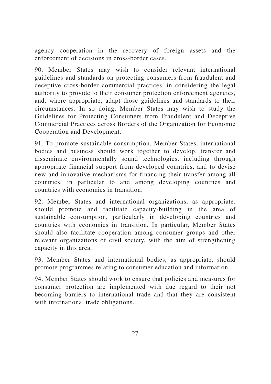agency cooperation in the recovery of foreign assets and the enforcement of decisions in cross-border cases.

90. Member States may wish to consider relevant international guidelines and standards on protecting consumers from fraudulent and deceptive cross-border commercial practices, in considering the legal authority to provide to their consumer protection enforcement agencies, and, where appropriate, adapt those guidelines and standards to their circumstances. In so doing, Member States may wish to study the Guidelines for Protecting Consumers from Fraudulent and Deceptive Commercial Practices across Borders of the Organization for Economic Cooperation and Development.

91. To promote sustainable consumption, Member States, international bodies and business should work together to develop, transfer and disseminate environmentally sound technologies, including through appropriate financial support from developed countries, and to devise new and innovative mechanisms for financing their transfer among all countries, in particular to and among developing countries and countries with economies in transition.

92. Member States and international organizations, as appropriate, should promote and facilitate capacity-building in the area of sustainable consumption, particularly in developing countries and countries with economies in transition. In particular, Member States should also facilitate cooperation among consumer groups and other relevant organizations of civil society, with the aim of strengthening capacity in this area.

93. Member States and international bodies, as appropriate, should promote programmes relating to consumer education and information.

94. Member States should work to ensure that policies and measures for consumer protection are implemented with due regard to their not becoming barriers to international trade and that they are consistent with international trade obligations.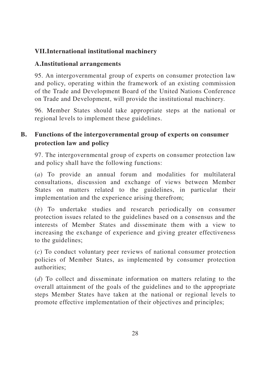## **VII.International institutional machinery**

### **A.Institutional arrangements**

95. An intergovernmental group of experts on consumer protection law and policy, operating within the framework of an existing commission of the Trade and Development Board of the United Nations Conference on Trade and Development, will provide the institutional machinery.

96. Member States should take appropriate steps at the national or regional levels to implement these guidelines.

# **B. Functions of the intergovernmental group of experts on consumer protection law and policy**

97. The intergovernmental group of experts on consumer protection law and policy shall have the following functions:

(*a*) To provide an annual forum and modalities for multilateral consultations, discussion and exchange of views between Member States on matters related to the guidelines, in particular their implementation and the experience arising therefrom;

(*b*) To undertake studies and research periodically on consumer protection issues related to the guidelines based on a consensus and the interests of Member States and disseminate them with a view to increasing the exchange of experience and giving greater effectiveness to the guidelines;

(*c*) To conduct voluntary peer reviews of national consumer protection policies of Member States, as implemented by consumer protection authorities:

(*d*) To collect and disseminate information on matters relating to the overall attainment of the goals of the guidelines and to the appropriate steps Member States have taken at the national or regional levels to promote effective implementation of their objectives and principles;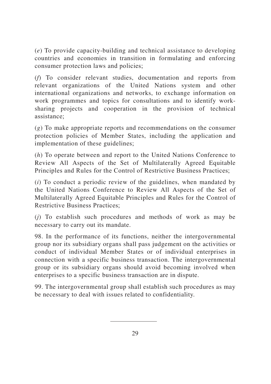(*e*) To provide capacity-building and technical assistance to developing countries and economies in transition in formulating and enforcing consumer protection laws and policies;

(*f*) To consider relevant studies, documentation and reports from relevant organizations of the United Nations system and other international organizations and networks, to exchange information on work programmes and topics for consultations and to identify worksharing projects and cooperation in the provision of technical assistance<sup>.</sup>

(*g*) To make appropriate reports and recommendations on the consumer protection policies of Member States, including the application and implementation of these guidelines;

(*h*) To operate between and report to the United Nations Conference to Review All Aspects of the Set of Multilaterally Agreed Equitable Principles and Rules for the Control of Restrictive Business Practices;

(*i*) To conduct a periodic review of the guidelines, when mandated by the United Nations Conference to Review All Aspects of the Set of Multilaterally Agreed Equitable Principles and Rules for the Control of Restrictive Business Practices;

(*j*) To establish such procedures and methods of work as may be necessary to carry out its mandate.

98. In the performance of its functions, neither the intergovernmental group nor its subsidiary organs shall pass judgement on the activities or conduct of individual Member States or of individual enterprises in connection with a specific business transaction. The intergovernmental group or its subsidiary organs should avoid becoming involved when enterprises to a specific business transaction are in dispute.

99. The intergovernmental group shall establish such procedures as may be necessary to deal with issues related to confidentiality.